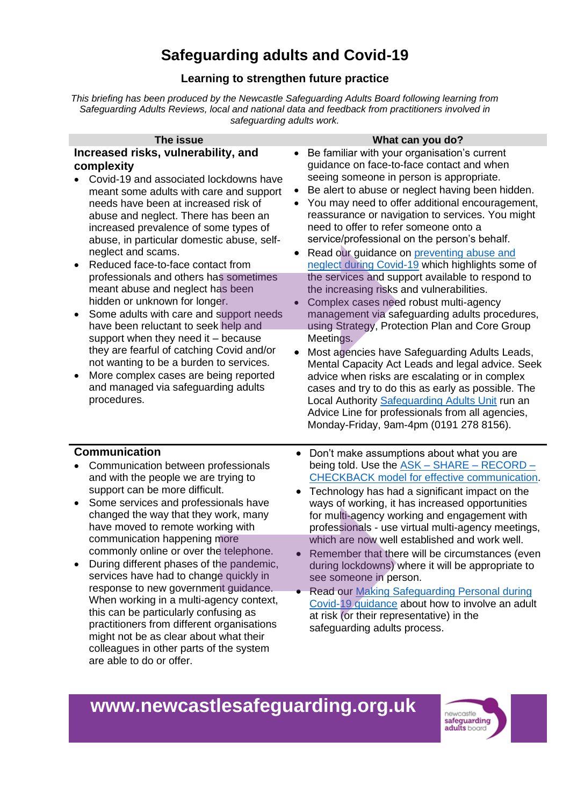## **Safeguarding adults and Covid-19**

## **Learning to strengthen future practice**

*This briefing has been produced by the Newcastle Safeguarding Adults Board following learning from Safeguarding Adults Reviews, local and national data and feedback from practitioners involved in safeguarding adults work.*

| The issue                                                                                                                                                                                                                                                                                                                                                                                                                                                                                                                                                                                                                                                                                                                                                                                                                          | What can you do?                                                                                                                                                                                                                                                                                                                                                                                                                                                                                                                                                                                                                                                                                                                                                                                                                                                                                                                                                                                                                                                                                                                                |
|------------------------------------------------------------------------------------------------------------------------------------------------------------------------------------------------------------------------------------------------------------------------------------------------------------------------------------------------------------------------------------------------------------------------------------------------------------------------------------------------------------------------------------------------------------------------------------------------------------------------------------------------------------------------------------------------------------------------------------------------------------------------------------------------------------------------------------|-------------------------------------------------------------------------------------------------------------------------------------------------------------------------------------------------------------------------------------------------------------------------------------------------------------------------------------------------------------------------------------------------------------------------------------------------------------------------------------------------------------------------------------------------------------------------------------------------------------------------------------------------------------------------------------------------------------------------------------------------------------------------------------------------------------------------------------------------------------------------------------------------------------------------------------------------------------------------------------------------------------------------------------------------------------------------------------------------------------------------------------------------|
| Increased risks, vulnerability, and<br>complexity<br>Covid-19 and associated lockdowns have<br>meant some adults with care and support<br>needs have been at increased risk of<br>abuse and neglect. There has been an<br>increased prevalence of some types of<br>abuse, in particular domestic abuse, self-<br>neglect and scams.<br>Reduced face-to-face contact from<br>$\bullet$<br>professionals and others has sometimes<br>meant abuse and neglect has been<br>hidden or unknown for longer.<br>Some adults with care and support needs<br>$\bullet$<br>have been reluctant to seek help and<br>support when they need it - because<br>they are fearful of catching Covid and/or<br>not wanting to be a burden to services.<br>More complex cases are being reported<br>and managed via safeguarding adults<br>procedures. | Be familiar with your organisation's current<br>$\bullet$<br>guidance on face-to-face contact and when<br>seeing someone in person is appropriate.<br>Be alert to abuse or neglect having been hidden.<br>You may need to offer additional encouragement,<br>reassurance or navigation to services. You might<br>need to offer to refer someone onto a<br>service/professional on the person's behalf.<br>Read our guidance on preventing abuse and<br>neglect during Covid-19 which highlights some of<br>the services and support available to respond to<br>the increasing risks and vulnerabilities.<br>Complex cases need robust multi-agency<br>$\bullet$<br>management via safeguarding adults procedures,<br>using Strategy, Protection Plan and Core Group<br>Meetings.<br>Most agencies have Safeguarding Adults Leads,<br>Mental Capacity Act Leads and legal advice. Seek<br>advice when risks are escalating or in complex<br>cases and try to do this as early as possible. The<br>Local Authority Safeguarding Adults Unit run an<br>Advice Line for professionals from all agencies,<br>Monday-Friday, 9am-4pm (0191 278 8156). |
| <b>Communication</b><br>Communication between professionals<br>and with the people we are trying to<br>support can be more difficult.<br>Some services and professionals have<br>changed the way that they work, many<br>have moved to remote working with<br>communication happening more<br>commonly online or over the telephone.<br>During different phases of the pandemic,<br>services have had to change quickly in<br>response to new government guidance.<br>When working in a multi-agency context,<br>this can be particularly confusing as<br>practitioners from different organisations<br>might not be as clear about what their<br>colleagues in other parts of the system<br>are able to do or offer.                                                                                                              | Don't make assumptions about what you are<br>$\bullet$<br>being told. Use the ASK - SHARE - RECORD -<br><b>CHECKBACK</b> model for effective communication.<br>Technology has had a significant impact on the<br>ways of working, it has increased opportunities<br>for multi-agency working and engagement with<br>professionals - use virtual multi-agency meetings,<br>which are now well established and work well.<br>Remember that there will be circumstances (even<br>during lockdowns) where it will be appropriate to<br>see someone in person.<br>• Read our Making Safeguarding Personal during<br>Covid-19 guidance about how to involve an adult<br>at risk (or their representative) in the<br>safeguarding adults process.                                                                                                                                                                                                                                                                                                                                                                                                      |

## **www.newcastlesafeguarding.org.uk**